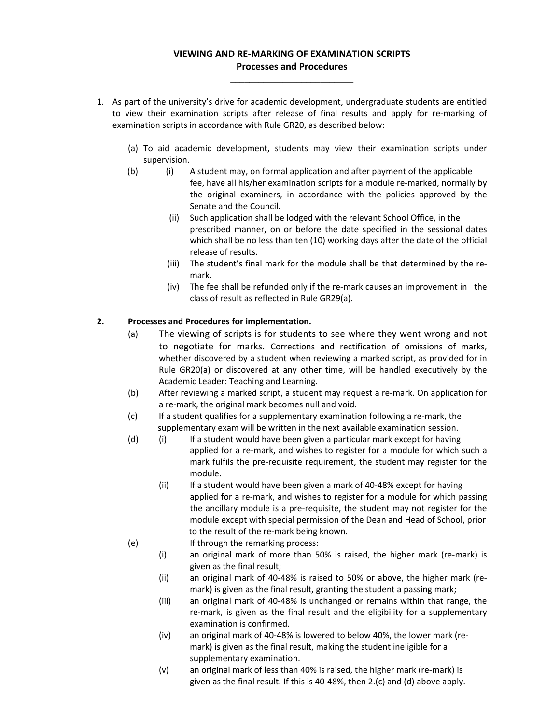## **VIEWING AND RE‐MARKING OF EXAMINATION SCRIPTS Processes and Procedures**

**\_\_\_\_\_\_\_\_\_\_\_\_\_\_\_\_\_\_\_\_\_\_\_\_\_\_** 

- 1. As part of the university's drive for academic development, undergraduate students are entitled to view their examination scripts after release of final results and apply for re-marking of examination scripts in accordance with Rule GR20, as described below:
	- (a) To aid academic development, students may view their examination scripts under supervision.
	- (b) (i) A student may, on formal application and after payment of the applicable fee, have all his/her examination scripts for a module re‐marked, normally by the original examiners, in accordance with the policies approved by the Senate and the Council.
		- (ii) Such application shall be lodged with the relevant School Office, in the prescribed manner, on or before the date specified in the sessional dates which shall be no less than ten (10) working days after the date of the official release of results.
		- (iii) The student's final mark for the module shall be that determined by the re‐ mark.
		- (iv) The fee shall be refunded only if the re‐mark causes an improvement in the class of result as reflected in Rule GR29(a).

## **2. Processes and Procedures for implementation.**

- (a) The viewing of scripts is for students to see where they went wrong and not to negotiate for marks. Corrections and rectification of omissions of marks, whether discovered by a student when reviewing a marked script, as provided for in Rule GR20(a) or discovered at any other time, will be handled executively by the Academic Leader: Teaching and Learning.
- (b) After reviewing a marked script, a student may request a re‐mark. On application for a re‐mark, the original mark becomes null and void.
- (c) If a student qualifies for a supplementary examination following a re‐mark, the supplementary exam will be written in the next available examination session.
- (d) (i) If a student would have been given a particular mark except for having applied for a re‐mark, and wishes to register for a module for which such a mark fulfils the pre‐requisite requirement, the student may register for the module.
	- (ii) If a student would have been given a mark of 40‐48% except for having applied for a re‐mark, and wishes to register for a module for which passing the ancillary module is a pre‐requisite, the student may not register for the module except with special permission of the Dean and Head of School, prior to the result of the re‐mark being known.
- (e) If through the remarking process:
	- (i) an original mark of more than 50% is raised, the higher mark (re-mark) is given as the final result;
	- (ii) an original mark of 40‐48% is raised to 50% or above, the higher mark (re‐ mark) is given as the final result, granting the student a passing mark;
	- (iii) an original mark of 40‐48% is unchanged or remains within that range, the re-mark, is given as the final result and the eligibility for a supplementary examination is confirmed.
	- (iv) an original mark of 40‐48% is lowered to below 40%, the lower mark (re‐ mark) is given as the final result, making the student ineligible for a supplementary examination.
	- (v) an original mark of less than 40% is raised, the higher mark (re‐mark) is given as the final result. If this is 40‐48%, then 2.(c) and (d) above apply.